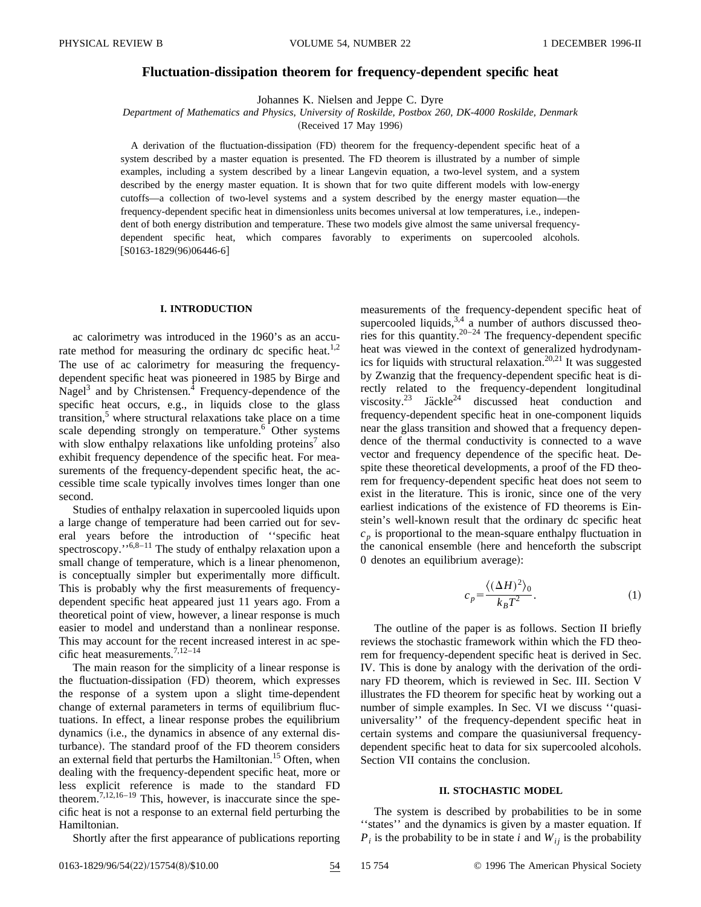# **Fluctuation-dissipation theorem for frequency-dependent specific heat**

Johannes K. Nielsen and Jeppe C. Dyre

*Department of Mathematics and Physics, University of Roskilde, Postbox 260, DK-4000 Roskilde, Denmark*

(Received 17 May 1996)

A derivation of the fluctuation-dissipation (FD) theorem for the frequency-dependent specific heat of a system described by a master equation is presented. The FD theorem is illustrated by a number of simple examples, including a system described by a linear Langevin equation, a two-level system, and a system described by the energy master equation. It is shown that for two quite different models with low-energy cutoffs—a collection of two-level systems and a system described by the energy master equation—the frequency-dependent specific heat in dimensionless units becomes universal at low temperatures, i.e., independent of both energy distribution and temperature. These two models give almost the same universal frequencydependent specific heat, which compares favorably to experiments on supercooled alcohols.  $[ S0163-1829(96)06446-6 ]$ 

## **I. INTRODUCTION**

ac calorimetry was introduced in the 1960's as an accurate method for measuring the ordinary dc specific heat.<sup>1,2</sup> The use of ac calorimetry for measuring the frequencydependent specific heat was pioneered in 1985 by Birge and Nagel<sup>3</sup> and by Christensen.<sup>4</sup> Frequency-dependence of the specific heat occurs, e.g., in liquids close to the glass transition, $5$  where structural relaxations take place on a time scale depending strongly on temperature.<sup>6</sup> Other systems with slow enthalpy relaxations like unfolding proteins<sup> $\prime$ </sup> also exhibit frequency dependence of the specific heat. For measurements of the frequency-dependent specific heat, the accessible time scale typically involves times longer than one second.

Studies of enthalpy relaxation in supercooled liquids upon a large change of temperature had been carried out for several years before the introduction of ''specific heat spectroscopy." $6,8-11$  The study of enthalpy relaxation upon a small change of temperature, which is a linear phenomenon, is conceptually simpler but experimentally more difficult. This is probably why the first measurements of frequencydependent specific heat appeared just 11 years ago. From a theoretical point of view, however, a linear response is much easier to model and understand than a nonlinear response. This may account for the recent increased interest in ac specific heat measurements.7,12–14

The main reason for the simplicity of a linear response is the fluctuation-dissipation (FD) theorem, which expresses the response of a system upon a slight time-dependent change of external parameters in terms of equilibrium fluctuations. In effect, a linear response probes the equilibrium dynamics (i.e., the dynamics in absence of any external disturbance). The standard proof of the FD theorem considers an external field that perturbs the Hamiltonian.<sup>15</sup> Often, when dealing with the frequency-dependent specific heat, more or less explicit reference is made to the standard FD theorem.<sup>7,12,16–19</sup> This, however, is inaccurate since the specific heat is not a response to an external field perturbing the Hamiltonian.

Shortly after the first appearance of publications reporting

measurements of the frequency-dependent specific heat of supercooled liquids,  $3,4$  a number of authors discussed theories for this quantity. $20-24$  The frequency-dependent specific heat was viewed in the context of generalized hydrodynamics for liquids with structural relaxation.<sup>20,21</sup> It was suggested by Zwanzig that the frequency-dependent specific heat is directly related to the frequency-dependent longitudinal viscosity.<sup>23</sup> Jackle<sup>24</sup> discussed heat conduction and frequency-dependent specific heat in one-component liquids near the glass transition and showed that a frequency dependence of the thermal conductivity is connected to a wave vector and frequency dependence of the specific heat. Despite these theoretical developments, a proof of the FD theorem for frequency-dependent specific heat does not seem to exist in the literature. This is ironic, since one of the very earliest indications of the existence of FD theorems is Einstein's well-known result that the ordinary dc specific heat  $c_p$  is proportional to the mean-square enthalpy fluctuation in the canonical ensemble (here and henceforth the subscript 0 denotes an equilibrium average):

$$
c_p = \frac{\langle (\Delta H)^2 \rangle_0}{k_B T^2}.
$$
 (1)

The outline of the paper is as follows. Section II briefly reviews the stochastic framework within which the FD theorem for frequency-dependent specific heat is derived in Sec. IV. This is done by analogy with the derivation of the ordinary FD theorem, which is reviewed in Sec. III. Section V illustrates the FD theorem for specific heat by working out a number of simple examples. In Sec. VI we discuss ''quasiuniversality'' of the frequency-dependent specific heat in certain systems and compare the quasiuniversal frequencydependent specific heat to data for six supercooled alcohols. Section VII contains the conclusion.

#### **II. STOCHASTIC MODEL**

The system is described by probabilities to be in some ''states'' and the dynamics is given by a master equation. If  $P_i$  is the probability to be in state *i* and  $W_{ij}$  is the probability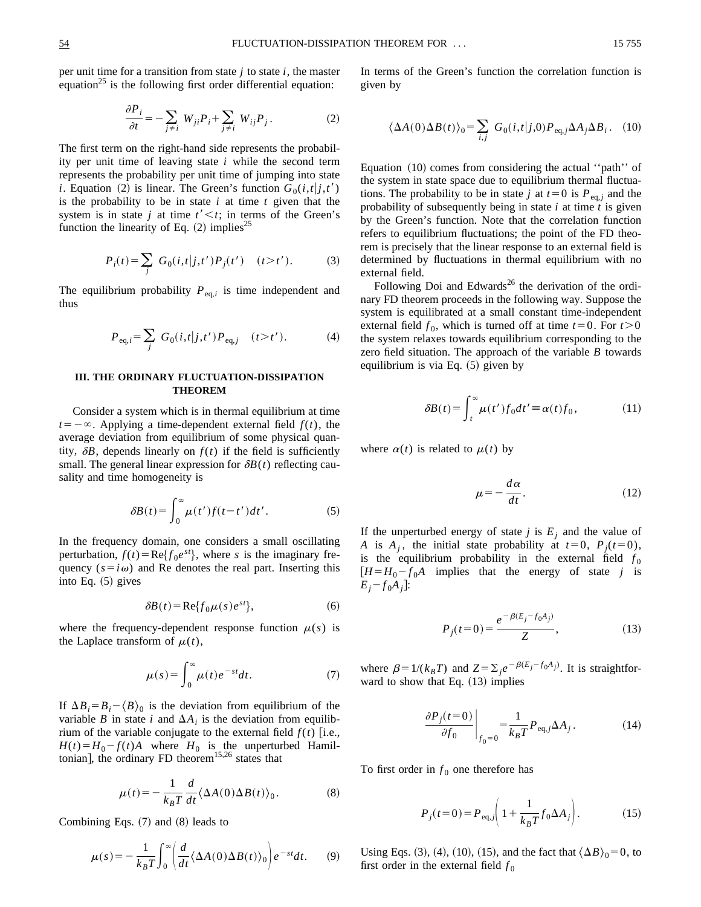per unit time for a transition from state *j* to state *i*, the master equation<sup>25</sup> is the following first order differential equation:

$$
\frac{\partial P_i}{\partial t} = -\sum_{j \neq i} W_{ji} P_i + \sum_{j \neq i} W_{ij} P_j. \tag{2}
$$

The first term on the right-hand side represents the probability per unit time of leaving state *i* while the second term represents the probability per unit time of jumping into state *i*. Equation (2) is linear. The Green's function  $G_0(i,t|j,t')$ is the probability to be in state *i* at time *t* given that the system is in state *j* at time  $t' < t$ ; in terms of the Green's function the linearity of Eq.  $(2)$  implies<sup>25</sup>

$$
P_i(t) = \sum_j G_0(i, t | j, t') P_j(t') \quad (t > t'). \tag{3}
$$

The equilibrium probability  $P_{eq,i}$  is time independent and thus

$$
P_{\text{eq},i} = \sum_{j} G_{0}(i,t|j,t')P_{\text{eq},j} \quad (t > t'). \tag{4}
$$

### **III. THE ORDINARY FLUCTUATION-DISSIPATION THEOREM**

Consider a system which is in thermal equilibrium at time  $t=-\infty$ . Applying a time-dependent external field  $f(t)$ , the average deviation from equilibrium of some physical quantity,  $\delta B$ , depends linearly on  $f(t)$  if the field is sufficiently small. The general linear expression for  $\delta B(t)$  reflecting causality and time homogeneity is

$$
\delta B(t) = \int_0^\infty \mu(t') f(t - t') dt'.
$$
 (5)

In the frequency domain, one considers a small oscillating perturbation,  $f(t) = \text{Re} \{f_0 e^{st}\}\$ , where *s* is the imaginary frequency  $(s = i\omega)$  and Re denotes the real part. Inserting this into Eq.  $(5)$  gives

$$
\delta B(t) = \text{Re}\{f_0 \mu(s)e^{st}\},\tag{6}
$$

where the frequency-dependent response function  $\mu(s)$  is the Laplace transform of  $\mu(t)$ ,

$$
\mu(s) = \int_0^\infty \mu(t) e^{-st} dt.
$$
 (7)

If  $\Delta B_i = B_i - \langle B \rangle_0$  is the deviation from equilibrium of the variable *B* in state *i* and  $\Delta A_i$  is the deviation from equilibrium of the variable conjugate to the external field  $f(t)$  [i.e.,  $H(t) = H_0 - f(t)A$  where  $H_0$  is the unperturbed Hamiltonian], the ordinary FD theorem<sup>15,26</sup> states that

$$
\mu(t) = -\frac{1}{k_B T} \frac{d}{dt} \langle \Delta A(0) \Delta B(t) \rangle_0.
$$
 (8)

Combining Eqs.  $(7)$  and  $(8)$  leads to

$$
\mu(s) = -\frac{1}{k_B T} \int_0^\infty \left( \frac{d}{dt} \langle \Delta A(0) \Delta B(t) \rangle_0 \right) e^{-st} dt. \tag{9}
$$

In terms of the Green's function the correlation function is given by

$$
\langle \Delta A(0)\Delta B(t)\rangle_0 = \sum_{i,j} G_0(i,t|j,0) P_{\text{eq},j} \Delta A_j \Delta B_i.
$$
 (10)

Equation  $(10)$  comes from considering the actual "path" of the system in state space due to equilibrium thermal fluctuations. The probability to be in state *j* at  $t=0$  is  $P_{eq, j}$  and the probability of subsequently being in state *i* at time *t* is given by the Green's function. Note that the correlation function refers to equilibrium fluctuations; the point of the FD theorem is precisely that the linear response to an external field is determined by fluctuations in thermal equilibrium with no external field.

Following Doi and Edwards<sup>26</sup> the derivation of the ordinary FD theorem proceeds in the following way. Suppose the system is equilibrated at a small constant time-independent external field  $f_0$ , which is turned off at time  $t=0$ . For  $t>0$ . the system relaxes towards equilibrium corresponding to the zero field situation. The approach of the variable *B* towards equilibrium is via Eq.  $(5)$  given by

$$
\delta B(t) = \int_{t}^{\infty} \mu(t') f_0 dt' \equiv \alpha(t) f_0, \qquad (11)
$$

where  $\alpha(t)$  is related to  $\mu(t)$  by

$$
\mu = -\frac{d\alpha}{dt}.\tag{12}
$$

If the unperturbed energy of state *j* is  $E_i$  and the value of *A* is  $A_j$ , the initial state probability at  $t=0$ ,  $P_j(t=0)$ , is the equilibrium probability in the external field  $f_0$  $[H = H_0 - f_0A$  implies that the energy of state *j* is  $E_i - f_0 A_i$ :

$$
P_j(t=0) = \frac{e^{-\beta(E_j - f_0 A_j)}}{Z},\tag{13}
$$

where  $\beta=1/(k_BT)$  and  $Z=\sum_j e^{-\beta(E_j-f_0A_j)}$ . It is straightforward to show that Eq.  $(13)$  implies

$$
\left. \frac{\partial P_j(t=0)}{\partial f_0} \right|_{f_0=0} = \frac{1}{k_B T} P_{\text{eq},j} \Delta A_j \,. \tag{14}
$$

To first order in  $f_0$  one therefore has

$$
P_j(t=0) = P_{\text{eq},j} \bigg( 1 + \frac{1}{k_B T} f_0 \Delta A_j \bigg). \tag{15}
$$

Using Eqs. (3), (4), (10), (15), and the fact that  $\langle \Delta B \rangle_0 = 0$ , to first order in the external field  $f_0$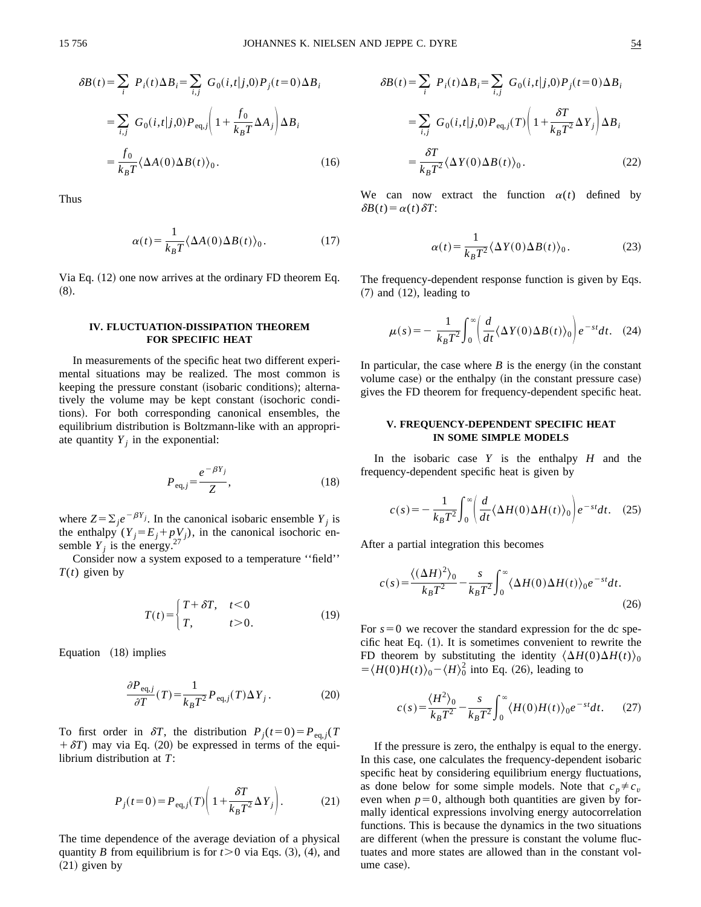$$
\delta B(t) = \sum_{i} P_{i}(t) \Delta B_{i} = \sum_{i,j} G_{0}(i, t | j, 0) P_{j}(t=0) \Delta B_{i}
$$

$$
= \sum_{i,j} G_{0}(i, t | j, 0) P_{eq, j} \left( 1 + \frac{f_{0}}{k_{B}T} \Delta A_{j} \right) \Delta B_{i}
$$

$$
= \frac{f_{0}}{k_{B}T} \langle \Delta A(0) \Delta B(t) \rangle_{0}.
$$
(16)

Thus

$$
\alpha(t) = \frac{1}{k_B T} \langle \Delta A(0) \Delta B(t) \rangle_0.
$$
 (17)

Via Eq.  $(12)$  one now arrives at the ordinary FD theorem Eq.  $(8).$ 

# **IV. FLUCTUATION-DISSIPATION THEOREM FOR SPECIFIC HEAT**

In measurements of the specific heat two different experimental situations may be realized. The most common is keeping the pressure constant (isobaric conditions); alternatively the volume may be kept constant (isochoric conditions). For both corresponding canonical ensembles, the equilibrium distribution is Boltzmann-like with an appropriate quantity  $Y_i$  in the exponential:

$$
P_{\text{eq},j} = \frac{e^{-\beta Y_j}}{Z},\tag{18}
$$

where  $Z = \sum_j e^{-\beta Y_j}$ . In the canonical isobaric ensemble  $Y_j$  is the enthalpy  $(Y_j = E_j + pV_j)$ , in the canonical isochoric ensemble  $Y_j$  is the energy.<sup>27</sup>

Consider now a system exposed to a temperature ''field'' *T*(*t*) given by

$$
T(t) = \begin{cases} T + \delta T, & t < 0 \\ T, & t > 0. \end{cases}
$$
 (19)

Equation  $(18)$  implies

$$
\frac{\partial P_{\text{eq},j}}{\partial T}(T) = \frac{1}{k_B T^2} P_{\text{eq},j}(T) \Delta Y_j \,. \tag{20}
$$

To first order in  $\delta T$ , the distribution  $P_i(t=0) = P_{eq, i}(T)$  $+ \delta T$ ) may via Eq. (20) be expressed in terms of the equilibrium distribution at *T*:

$$
P_j(t=0) = P_{\text{eq},j}(T) \left( 1 + \frac{\delta T}{k_B T^2} \Delta Y_j \right). \tag{21}
$$

The time dependence of the average deviation of a physical quantity *B* from equilibrium is for  $t > 0$  via Eqs. (3), (4), and  $(21)$  given by

$$
\delta B(t) = \sum_{i} P_{i}(t) \Delta B_{i} = \sum_{i,j} G_{0}(i, t | j, 0) P_{j}(t=0) \Delta B_{i}
$$

$$
= \sum_{i,j} G_{0}(i, t | j, 0) P_{eq, j}(T) \left( 1 + \frac{\delta T}{k_{B} T^{2}} \Delta Y_{j} \right) \Delta B_{i}
$$

$$
= \frac{\delta T}{k_{B} T^{2}} \langle \Delta Y(0) \Delta B(t) \rangle_{0}.
$$
(22)

We can now extract the function  $\alpha(t)$  defined by  $\delta B(t) = \alpha(t) \delta T$ :

$$
\alpha(t) = \frac{1}{k_B T^2} \langle \Delta Y(0) \Delta B(t) \rangle_0.
$$
 (23)

The frequency-dependent response function is given by Eqs.  $(7)$  and  $(12)$ , leading to

$$
\mu(s) = -\frac{1}{k_B T^2} \int_0^\infty \left( \frac{d}{dt} \langle \Delta Y(0) \Delta B(t) \rangle_0 \right) e^{-st} dt. \quad (24)
$$

In particular, the case where  $B$  is the energy (in the constant volume case) or the enthalpy (in the constant pressure case) gives the FD theorem for frequency-dependent specific heat.

# **V. FREQUENCY-DEPENDENT SPECIFIC HEAT IN SOME SIMPLE MODELS**

In the isobaric case *Y* is the enthalpy *H* and the frequency-dependent specific heat is given by

$$
c(s) = -\frac{1}{k_B T^2} \int_0^\infty \left( \frac{d}{dt} \langle \Delta H(0) \Delta H(t) \rangle_0 \right) e^{-st} dt. \quad (25)
$$

After a partial integration this becomes

$$
c(s) = \frac{\langle (\Delta H)^2 \rangle_0}{k_B T^2} - \frac{s}{k_B T^2} \int_0^\infty \langle \Delta H(0) \Delta H(t) \rangle_0 e^{-st} dt.
$$
\n(26)

For  $s=0$  we recover the standard expression for the dc specific heat Eq.  $(1)$ . It is sometimes convenient to rewrite the FD theorem by substituting the identity  $\langle \Delta H(0)\Delta H(t)\rangle_0$  $=\langle H(0)H(t)\rangle_0 - \langle H\rangle_0^2$  into Eq. (26), leading to

$$
c(s) = \frac{\langle H^2 \rangle_0}{k_B T^2} - \frac{s}{k_B T^2} \int_0^\infty \langle H(0) H(t) \rangle_0 e^{-st} dt. \tag{27}
$$

If the pressure is zero, the enthalpy is equal to the energy. In this case, one calculates the frequency-dependent isobaric specific heat by considering equilibrium energy fluctuations, as done below for some simple models. Note that  $c_p \neq c_v$ even when  $p=0$ , although both quantities are given by formally identical expressions involving energy autocorrelation functions. This is because the dynamics in the two situations are different (when the pressure is constant the volume fluctuates and more states are allowed than in the constant volume case).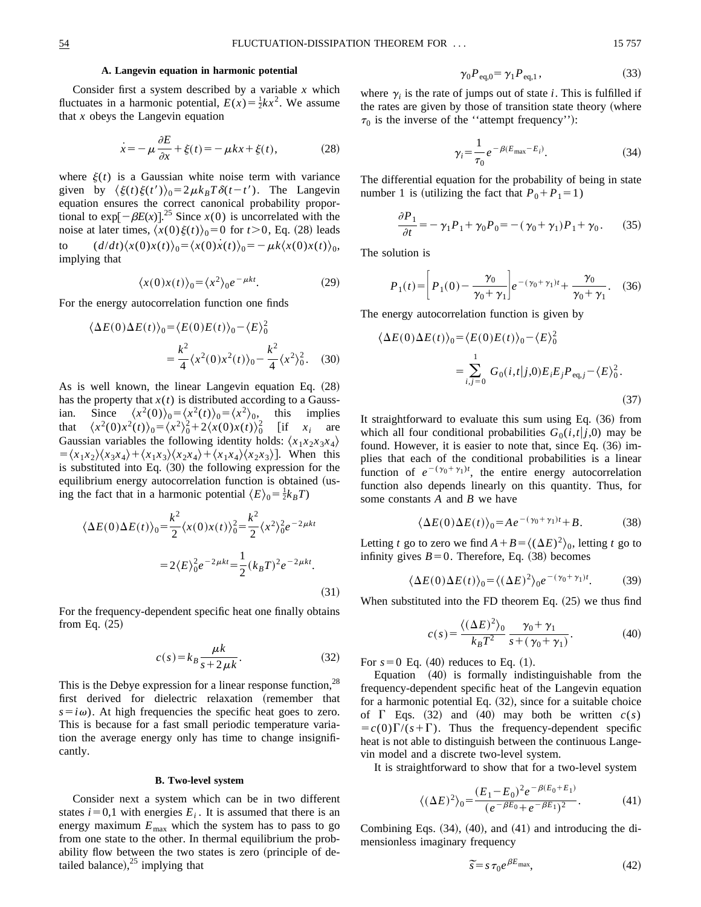### **A. Langevin equation in harmonic potential**

Consider first a system described by a variable *x* which fluctuates in a harmonic potential,  $E(x) = \frac{1}{2}kx^2$ . We assume that *x* obeys the Langevin equation

$$
\dot{x} = -\mu \frac{\partial E}{\partial x} + \xi(t) = -\mu k x + \xi(t),\tag{28}
$$

where  $\xi(t)$  is a Gaussian white noise term with variance given by  $\langle \xi(t)\xi(t')\rangle_0 = 2\mu k_BT\delta(t-t')$ . The Langevin equation ensures the correct canonical probability proportional to  $\exp[-\beta E(x)]^{25}$  Since  $x(0)$  is uncorrelated with the noise at later times,  $\langle x(0)\xi(t)\rangle_0=0$  for  $t>0$ , Eq. (28) leads to  $(d/dt)\langle x(0)x(t)\rangle_0 = \langle x(0)\dot{x}(t)\rangle_0 = -\mu k\langle x(0)x(t)\rangle_0,$ implying that

$$
\langle x(0)x(t) \rangle_0 = \langle x^2 \rangle_0 e^{-\mu kt}.
$$
 (29)

For the energy autocorrelation function one finds

$$
\langle \Delta E(0) \Delta E(t) \rangle_0 = \langle E(0)E(t) \rangle_0 - \langle E \rangle_0^2
$$
  
=  $\frac{k^2}{4} \langle x^2(0) x^2(t) \rangle_0 - \frac{k^2}{4} \langle x^2 \rangle_0^2$ . (30)

As is well known, the linear Langevin equation Eq.  $(28)$ has the property that  $x(t)$  is distributed according to a Gaussian. Since  $\langle x^2(0)\rangle_0 = \langle x^2(t)\rangle_0 = \langle x^2\rangle_0$ , this implies that  $\langle x^2(0)x^2(t) \rangle_0 = \langle x^2 \rangle_0^2 + 2\langle x(0)x(t) \rangle_0^2$  [if  $x_i$  are Gaussian variables the following identity holds:  $\langle x_1 x_2 x_3 x_4 \rangle$  $= \langle x_1 x_2 \rangle \langle x_3 x_4 \rangle + \langle x_1 x_3 \rangle \langle x_2 x_4 \rangle + \langle x_1 x_4 \rangle \langle x_2 x_3 \rangle$ . When this is substituted into Eq.  $(30)$  the following expression for the equilibrium energy autocorrelation function is obtained (using the fact that in a harmonic potential  $\langle E \rangle_0 = \frac{1}{2}k_B T$ 

$$
\langle \Delta E(0) \Delta E(t) \rangle_0 = \frac{k^2}{2} \langle x(0)x(t) \rangle_0^2 = \frac{k^2}{2} \langle x^2 \rangle_0^2 e^{-2\mu kt}
$$
  
=  $2 \langle E \rangle_0^2 e^{-2\mu kt} = \frac{1}{2} (k_B T)^2 e^{-2\mu kt}.$  (31)

For the frequency-dependent specific heat one finally obtains from Eq.  $(25)$ 

$$
c(s) = k_B \frac{\mu k}{s + 2\mu k}.
$$
 (32)

This is the Debye expression for a linear response function,  $28$ first derived for dielectric relaxation (remember that  $s = i\omega$ ). At high frequencies the specific heat goes to zero. This is because for a fast small periodic temperature variation the average energy only has time to change insignificantly.

#### **B. Two-level system**

Consider next a system which can be in two different states  $i=0,1$  with energies  $E_i$ . It is assumed that there is an energy maximum  $E_{\text{max}}$  which the system has to pass to go from one state to the other. In thermal equilibrium the probability flow between the two states is zero (principle of detailed balance), $25$  implying that

$$
\gamma_0 P_{\text{eq},0} = \gamma_1 P_{\text{eq},1},\tag{33}
$$

where  $\gamma_i$  is the rate of jumps out of state *i*. This is fulfilled if the rates are given by those of transition state theory (where  $\tau_0$  is the inverse of the "attempt frequency":

$$
\gamma_i = \frac{1}{\tau_0} e^{-\beta (E_{\text{max}} - E_i)}.
$$
\n(34)

The differential equation for the probability of being in state number 1 is (utilizing the fact that  $P_0 + P_1 = 1$ )

$$
\frac{\partial P_1}{\partial t} = -\gamma_1 P_1 + \gamma_0 P_0 = -(\gamma_0 + \gamma_1) P_1 + \gamma_0. \tag{35}
$$

The solution is

$$
P_1(t) = \left[ P_1(0) - \frac{\gamma_0}{\gamma_0 + \gamma_1} \right] e^{-(\gamma_0 + \gamma_1)t} + \frac{\gamma_0}{\gamma_0 + \gamma_1}.
$$
 (36)

The energy autocorrelation function is given by

$$
\langle \Delta E(0)\Delta E(t) \rangle_0 = \langle E(0)E(t) \rangle_0 - \langle E \rangle_0^2
$$
  
= 
$$
\sum_{i,j=0}^1 G_0(i,t|j,0)E_iE_jP_{\text{eq},j} - \langle E \rangle_0^2.
$$
 (37)

It straightforward to evaluate this sum using Eq.  $(36)$  from which all four conditional probabilities  $G_0(i,t|j,0)$  may be found. However, it is easier to note that, since Eq.  $(36)$  implies that each of the conditional probabilities is a linear function of  $e^{-(\gamma_0 + \gamma_1)t}$ , the entire energy autocorrelation function also depends linearly on this quantity. Thus, for some constants *A* and *B* we have

$$
\langle \Delta E(0) \Delta E(t) \rangle_0 = A e^{-(\gamma_0 + \gamma_1)t} + B. \tag{38}
$$

Letting *t* go to zero we find  $A + B = \langle (\Delta E)^2 \rangle_0$ , letting *t* go to infinity gives  $B=0$ . Therefore, Eq. (38) becomes

$$
\langle \Delta E(0) \Delta E(t) \rangle_0 = \langle (\Delta E)^2 \rangle_0 e^{-(\gamma_0 + \gamma_1)t}.
$$
 (39)

When substituted into the FD theorem Eq.  $(25)$  we thus find

$$
c(s) = \frac{\langle (\Delta E)^2 \rangle_0}{k_B T^2} \frac{\gamma_0 + \gamma_1}{s + (\gamma_0 + \gamma_1)}.
$$
 (40)

For  $s=0$  Eq.  $(40)$  reduces to Eq.  $(1)$ .

Equation  $(40)$  is formally indistinguishable from the frequency-dependent specific heat of the Langevin equation for a harmonic potential Eq.  $(32)$ , since for a suitable choice of  $\Gamma$  Eqs. (32) and (40) may both be written  $c(s)$  $= c(0)\Gamma/(s+\Gamma)$ . Thus the frequency-dependent specific heat is not able to distinguish between the continuous Langevin model and a discrete two-level system.

It is straightforward to show that for a two-level system

$$
\langle (\Delta E)^2 \rangle_0 = \frac{(E_1 - E_0)^2 e^{-\beta (E_0 + E_1)}}{(e^{-\beta E_0} + e^{-\beta E_1})^2}.
$$
 (41)

Combining Eqs.  $(34)$ ,  $(40)$ , and  $(41)$  and introducing the dimensionless imaginary frequency

$$
\widetilde{s} = s \,\tau_0 e^{\beta E_{\text{max}}},\tag{42}
$$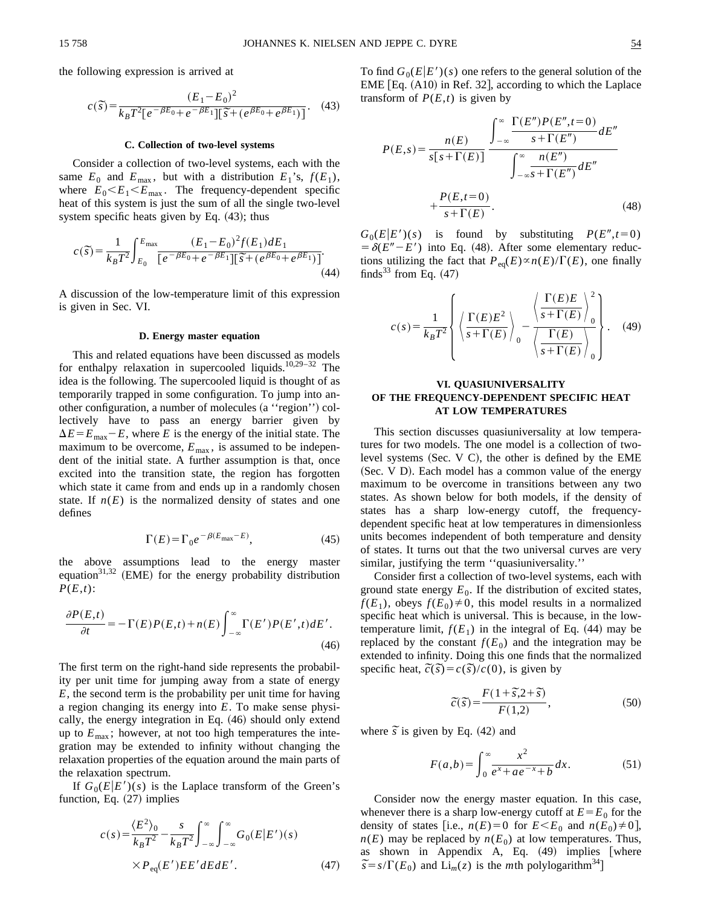the following expression is arrived at

$$
c(\tilde{s}) = \frac{(E_1 - E_0)^2}{k_B T^2 [e^{-\beta E_0} + e^{-\beta E_1}][\tilde{s} + (e^{\beta E_0} + e^{\beta E_1})]}.
$$
 (43)

#### **C. Collection of two-level systems**

Consider a collection of two-level systems, each with the same  $E_0$  and  $E_{\text{max}}$ , but with a distribution  $E_1$ 's,  $f(E_1)$ , where  $E_0 \leq E_1 \leq E_{\text{max}}$ . The frequency-dependent specific heat of this system is just the sum of all the single two-level system specific heats given by Eq.  $(43)$ ; thus

$$
c(\tilde{s}) = \frac{1}{k_B T^2} \int_{E_0}^{E_{\text{max}}} \frac{(E_1 - E_0)^2 f(E_1) dE_1}{[e^{-\beta E_0} + e^{-\beta E_1}][\tilde{s} + (e^{\beta E_0} + e^{\beta E_1})]}.
$$
\n(44)

A discussion of the low-temperature limit of this expression is given in Sec. VI.

#### **D. Energy master equation**

This and related equations have been discussed as models for enthalpy relaxation in supercooled liquids.<sup>10,29-32</sup> The idea is the following. The supercooled liquid is thought of as temporarily trapped in some configuration. To jump into another configuration, a number of molecules (a "region") collectively have to pass an energy barrier given by  $\Delta E = E_{\text{max}} - E$ , where *E* is the energy of the initial state. The maximum to be overcome,  $E_{\text{max}}$ , is assumed to be independent of the initial state. A further assumption is that, once excited into the transition state, the region has forgotten which state it came from and ends up in a randomly chosen state. If  $n(E)$  is the normalized density of states and one defines

$$
\Gamma(E) = \Gamma_0 e^{-\beta(E_{\text{max}} - E)},\tag{45}
$$

the above assumptions lead to the energy master equation<sup>31,32</sup> (EME) for the energy probability distribution *P*(*E*,*t*):

$$
\frac{\partial P(E,t)}{\partial t} = -\Gamma(E)P(E,t) + n(E) \int_{-\infty}^{\infty} \Gamma(E')P(E',t) dE'.
$$
\n(46)

The first term on the right-hand side represents the probability per unit time for jumping away from a state of energy *E*, the second term is the probability per unit time for having a region changing its energy into *E*. To make sense physically, the energy integration in Eq.  $(46)$  should only extend up to  $E_{\text{max}}$ ; however, at not too high temperatures the integration may be extended to infinity without changing the relaxation properties of the equation around the main parts of the relaxation spectrum.

If  $G_0(E|E')(s)$  is the Laplace transform of the Green's function, Eq.  $(27)$  implies

$$
c(s) = \frac{\langle E^2 \rangle_0}{k_B T^2} - \frac{s}{k_B T^2} \int_{-\infty}^{\infty} \int_{-\infty}^{\infty} G_0(E|E')(s)
$$
  
 
$$
\times P_{\text{eq}}(E')EE'dE dE'.
$$
 (47)

To find  $G_0(E|E')(s)$  one refers to the general solution of the  $EME$  [Eq.  $(A10)$  in Ref. 32], according to which the Laplace transform of  $P(E,t)$  is given by

$$
P(E,s) = \frac{n(E)}{s[s+\Gamma(E)]} \frac{\int_{-\infty}^{\infty} \frac{\Gamma(E'')P(E'',t=0)}{s+\Gamma(E'')}dE''}{\int_{-\infty}^{\infty} \frac{n(E'')}{s+\Gamma(E'')}dE''}
$$

$$
+\frac{P(E,t=0)}{s+\Gamma(E)}.
$$
(48)

 $G_0(E|E')(s)$  is found by substituting  $P(E'', t=0)$  $= \delta(E'' - E')$  into Eq. (48). After some elementary reductions utilizing the fact that  $P_{eq}(E) \propto n(E)/\Gamma(E)$ , one finally finds<sup>33</sup> from Eq.  $(47)$ 

$$
c(s) = \frac{1}{k_B T^2} \left\{ \left\langle \frac{\Gamma(E)E^2}{s + \Gamma(E)} \right\rangle_0 - \left\langle \frac{\Gamma(E)E}{s + \Gamma(E)} \right\rangle_0^2 \right\}.
$$
 (49)

# **VI. QUASIUNIVERSALITY OF THE FREQUENCY-DEPENDENT SPECIFIC HEAT AT LOW TEMPERATURES**

This section discusses quasiuniversality at low temperatures for two models. The one model is a collection of twolevel systems (Sec. V C), the other is defined by the EME (Sec. V D). Each model has a common value of the energy maximum to be overcome in transitions between any two states. As shown below for both models, if the density of states has a sharp low-energy cutoff, the frequencydependent specific heat at low temperatures in dimensionless units becomes independent of both temperature and density of states. It turns out that the two universal curves are very similar, justifying the term "quasiuniversality."

Consider first a collection of two-level systems, each with ground state energy  $E_0$ . If the distribution of excited states,  $f(E_1)$ , obeys  $f(E_0) \neq 0$ , this model results in a normalized specific heat which is universal. This is because, in the lowtemperature limit,  $f(E_1)$  in the integral of Eq. (44) may be replaced by the constant  $f(E_0)$  and the integration may be extended to infinity. Doing this one finds that the normalized  $\epsilon$  specific heat,  $\tilde{c}(\tilde{s}) = c(\tilde{s})/c(0)$ , is given by

$$
\widetilde{c}(\widetilde{s}) = \frac{F(1+\widetilde{s}, 2+\widetilde{s})}{F(1,2)},
$$
\n(50)

where  $\tilde{s}$  is given by Eq. (42) and

$$
F(a,b) = \int_0^\infty \frac{x^2}{e^x + ae^{-x} + b} dx.
$$
 (51)

Consider now the energy master equation. In this case, whenever there is a sharp low-energy cutoff at  $E = E_0$  for the density of states [i.e.,  $n(E)=0$  for  $E \leq E_0$  and  $n(E_0) \neq 0$ ],  $n(E)$  may be replaced by  $n(E_0)$  at low temperatures. Thus, as shown in Appendix A, Eq.  $(49)$  implies [where as snown in Appendix A, Eq. (49) implies  $\tilde{s} = s/\Gamma(E_0)$  and  $\text{Li}_m(z)$  is the *m*th polylogarithm<sup>34</sup>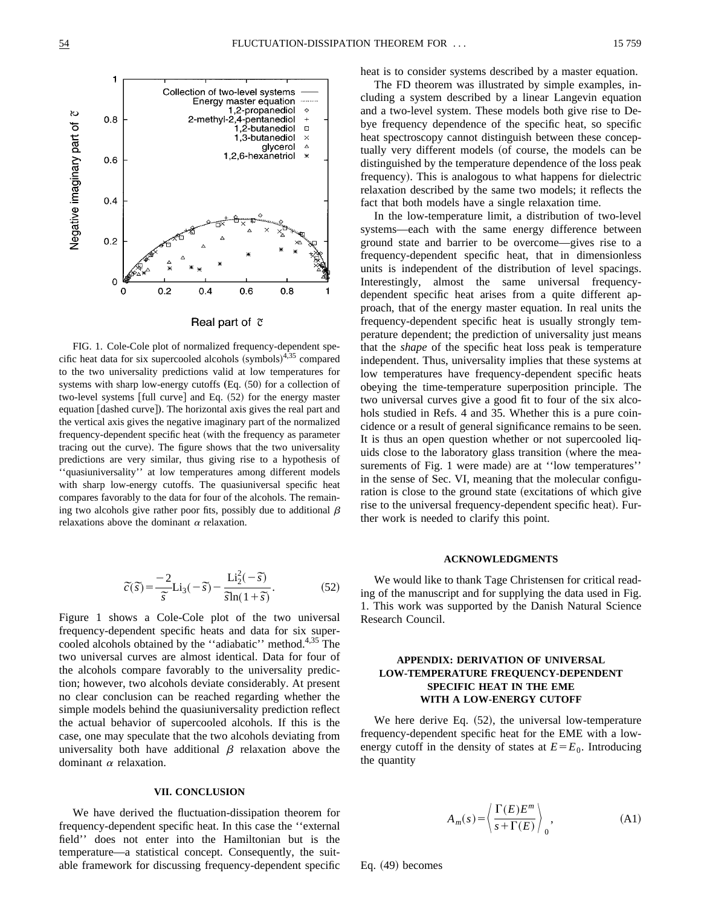

### Real part of  $\tilde{c}$

FIG. 1. Cole-Cole plot of normalized frequency-dependent specific heat data for six supercooled alcohols  $(symbols)^{4,35}$  compared to the two universality predictions valid at low temperatures for systems with sharp low-energy cutoffs  $(Eq. (50)$  for a collection of two-level systems [full curve] and Eq. (52) for the energy master equation [dashed curve]). The horizontal axis gives the real part and the vertical axis gives the negative imaginary part of the normalized frequency-dependent specific heat (with the frequency as parameter tracing out the curve). The figure shows that the two universality predictions are very similar, thus giving rise to a hypothesis of ''quasiuniversality'' at low temperatures among different models with sharp low-energy cutoffs. The quasiuniversal specific heat compares favorably to the data for four of the alcohols. The remaining two alcohols give rather poor fits, possibly due to additional  $\beta$ relaxations above the dominant  $\alpha$  relaxation.

$$
\tilde{c}(\tilde{s}) = \frac{-2}{\tilde{s}} \text{Li}_3(-\tilde{s}) - \frac{\text{Li}_2^2(-\tilde{s})}{\tilde{s}\ln(1+\tilde{s})}.
$$
 (52)

Figure 1 shows a Cole-Cole plot of the two universal frequency-dependent specific heats and data for six supercooled alcohols obtained by the "adiabatic" method.<sup>4,35</sup> The two universal curves are almost identical. Data for four of the alcohols compare favorably to the universality prediction; however, two alcohols deviate considerably. At present no clear conclusion can be reached regarding whether the simple models behind the quasiuniversality prediction reflect the actual behavior of supercooled alcohols. If this is the case, one may speculate that the two alcohols deviating from universality both have additional  $\beta$  relaxation above the dominant  $\alpha$  relaxation.

## **VII. CONCLUSION**

We have derived the fluctuation-dissipation theorem for frequency-dependent specific heat. In this case the ''external field'' does not enter into the Hamiltonian but is the temperature—a statistical concept. Consequently, the suitable framework for discussing frequency-dependent specific heat is to consider systems described by a master equation.

The FD theorem was illustrated by simple examples, including a system described by a linear Langevin equation and a two-level system. These models both give rise to Debye frequency dependence of the specific heat, so specific heat spectroscopy cannot distinguish between these conceptually very different models (of course, the models can be distinguished by the temperature dependence of the loss peak frequency). This is analogous to what happens for dielectric relaxation described by the same two models; it reflects the fact that both models have a single relaxation time.

In the low-temperature limit, a distribution of two-level systems—each with the same energy difference between ground state and barrier to be overcome—gives rise to a frequency-dependent specific heat, that in dimensionless units is independent of the distribution of level spacings. Interestingly, almost the same universal frequencydependent specific heat arises from a quite different approach, that of the energy master equation. In real units the frequency-dependent specific heat is usually strongly temperature dependent; the prediction of universality just means that the *shape* of the specific heat loss peak is temperature independent. Thus, universality implies that these systems at low temperatures have frequency-dependent specific heats obeying the time-temperature superposition principle. The two universal curves give a good fit to four of the six alcohols studied in Refs. 4 and 35. Whether this is a pure coincidence or a result of general significance remains to be seen. It is thus an open question whether or not supercooled liquids close to the laboratory glass transition (where the measurements of Fig. 1 were made) are at "low temperatures" in the sense of Sec. VI, meaning that the molecular configuration is close to the ground state (excitations of which give rise to the universal frequency-dependent specific heat). Further work is needed to clarify this point.

### **ACKNOWLEDGMENTS**

We would like to thank Tage Christensen for critical reading of the manuscript and for supplying the data used in Fig. 1. This work was supported by the Danish Natural Science Research Council.

# **APPENDIX: DERIVATION OF UNIVERSAL LOW-TEMPERATURE FREQUENCY-DEPENDENT SPECIFIC HEAT IN THE EME WITH A LOW-ENERGY CUTOFF**

We here derive Eq.  $(52)$ , the universal low-temperature frequency-dependent specific heat for the EME with a lowenergy cutoff in the density of states at  $E = E_0$ . Introducing the quantity

$$
A_m(s) = \left\langle \frac{\Gamma(E)E^m}{s + \Gamma(E)} \right\rangle_0,
$$
\n(A1)

Eq.  $(49)$  becomes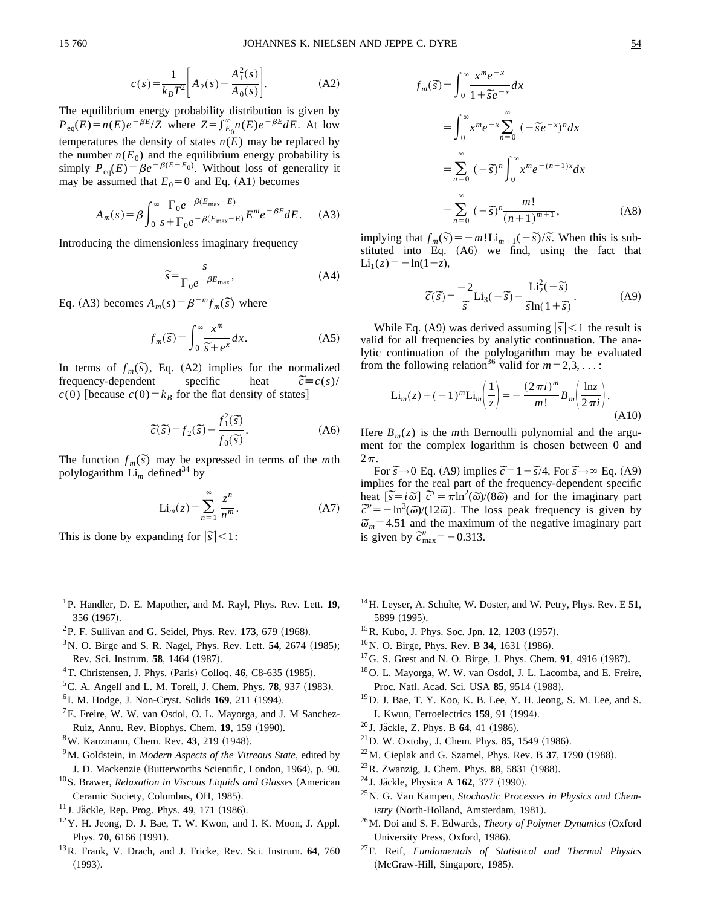$$
c(s) = \frac{1}{k_B T^2} \left[ A_2(s) - \frac{A_1^2(s)}{A_0(s)} \right].
$$
 (A2)

The equilibrium energy probability distribution is given by  $P_{eq}(E) = n(E)e^{-\beta E}/Z$  where  $Z = \int_{E_0}^{\infty} n(E)e^{-\beta E}dE$ . At low temperatures the density of states  $n(E)$  may be replaced by the number  $n(E_0)$  and the equilibrium energy probability is simply  $P_{eq}(E) = \beta e^{-\beta(E-E_0)}$ . Without loss of generality it may be assumed that  $E_0=0$  and Eq. (A1) becomes

$$
A_m(s) = \beta \int_0^\infty \frac{\Gamma_0 e^{-\beta(E_{\text{max}} - E)}}{s + \Gamma_0 e^{-\beta(E_{\text{max}} - E)}} E^m e^{-\beta E} dE. \tag{A3}
$$

Introducing the dimensionless imaginary frequency

$$
\widetilde{s} = \frac{s}{\Gamma_0 e^{-\beta E_{\text{max}}}},\tag{A4}
$$

Eq. (A3) becomes  $A_m(s) = \beta^{-m} f_m(\tilde{s})$  where

$$
f_m(\tilde{s}) = \int_0^\infty \frac{x^m}{\tilde{s} + e^x} dx.
$$
 (A5)

In terms of *f*<sub>*m*</sub>( $\overline{s}$ ), Eq. (A2) implies for the normalized frequency-dependent specific heat  $\widetilde{c} \equiv c(s)$ /  $\tilde{c} \equiv c(s)$  $c(0)$  [because  $c(0) = k_B$  for the flat density of states]

$$
\widetilde{c}(\widetilde{s}) = f_2(\widetilde{s}) - \frac{f_1^2(\widetilde{s})}{f_0(\widetilde{s})}.
$$
\n(A6)

The function  $f_m(\tilde{s})$  may be expressed in terms of the *m*th polylogarithm  $\operatorname{Li}_{m}$  defined<sup>34</sup> by

$$
\operatorname{Li}_m(z) = \sum_{n=1}^{\infty} \frac{z^n}{n^m}.
$$
 (A7)

This is done by expanding for  $|\tilde{s}| < 1$ :

- 1P. Handler, D. E. Mapother, and M. Rayl, Phys. Rev. Lett. **19**, 356 (1967).
- $^{2}P$ . F. Sullivan and G. Seidel, Phys. Rev. 173, 679 (1968).
- $3$ N. O. Birge and S. R. Nagel, Phys. Rev. Lett. **54**, 2674 (1985); Rev. Sci. Instrum. **58**, 1464 (1987).
- ${}^{4}$ T. Christensen, J. Phys. (Paris) Colloq. **46**, C8-635 (1985).
- ${}^5$ C. A. Angell and L. M. Torell, J. Chem. Phys. **78**, 937 (1983).
- <sup>6</sup> I. M. Hodge, J. Non-Cryst. Solids **169**, 211 (1994).
- ${}^{7}E$ . Freire, W. W. van Osdol, O. L. Mayorga, and J. M Sanchez-Ruiz, Annu. Rev. Biophys. Chem. **19**, 159 (1990).
- <sup>8</sup>W. Kauzmann, Chem. Rev. **43**, 219 (1948).
- 9M. Goldstein, in *Modern Aspects of the Vitreous State*, edited by J. D. Mackenzie (Butterworths Scientific, London, 1964), p. 90.
- <sup>10</sup>S. Brawer, *Relaxation in Viscous Liquids and Glasses* (American Ceramic Society, Columbus, OH, 1985).
- <sup>11</sup> J. Jäckle, Rep. Prog. Phys. **49**, 171 (1986).
- $12$ Y. H. Jeong, D. J. Bae, T. W. Kwon, and I. K. Moon, J. Appl. Phys. 70, 6166 (1991).
- 13R. Frank, V. Drach, and J. Fricke, Rev. Sci. Instrum. **64**, 760  $(1993).$

$$
f_m(\overline{s}) = \int_0^\infty \frac{x^m e^{-x}}{1 + \overline{s}e^{-x}} dx
$$
  
\n
$$
= \int_0^\infty x^m e^{-x} \sum_{n=0}^\infty (-\overline{s}e^{-x})^n dx
$$
  
\n
$$
= \sum_{n=0}^\infty (-\overline{s})^n \int_0^\infty x^m e^{-(n+1)x} dx
$$
  
\n
$$
= \sum_{n=0}^\infty (-\overline{s})^n \frac{m!}{(n+1)^{m+1}},
$$
 (A8)

implying that  $f_m(\overline{s}) = -m! \operatorname{Li}_{m+1}(-\overline{s})/\overline{s}$ . When this is substituted into Eq.  $(A6)$  we find, using the fact that  $Li_1(z) = -\ln(1-z),$ 

$$
\tilde{c}(\tilde{s}) = \frac{-2}{\tilde{s}} \text{Li}_3(-\tilde{s}) - \frac{\text{Li}_2^2(-\tilde{s})}{\tilde{s}\ln(1+\tilde{s})}.
$$
 (A9)

While Eq. (A9) was derived assuming  $|\vec{s}| < 1$  the result is valid for all frequencies by analytic continuation. The analytic continuation of the polylogarithm may be evaluated from the following relation<sup>36</sup> valid for  $m=2,3,...$ :

$$
\operatorname{Li}_{m}(z) + (-1)^{m} \operatorname{Li}_{m}\left(\frac{1}{z}\right) = -\frac{(2\pi i)^{m}}{m!} B_{m}\left(\frac{\ln z}{2\pi i}\right). \tag{A10}
$$

Here  $B_m(z)$  is the *m*th Bernoulli polynomial and the argument for the complex logarithm is chosen between 0 and  $2\pi$ .

For  $\tilde{s} \rightarrow 0$  Eq. (A9) implies  $\tilde{c} = 1 - \tilde{s}/4$ . For  $\tilde{s} \rightarrow \infty$  Eq. (A9) implies for the real part of the frequency-dependent specific implies for the real part of the frequency-dependent specific<br>heat  $\left[\tilde{s} = i\tilde{\omega}\right] \tilde{c}' = \pi \ln^2(\tilde{\omega})/(8\tilde{\omega})$  and for the imaginary part  $\vec{c}'' = -\ln^3(\vec{\omega})/(12\vec{\omega})$ . The loss peak frequency is given by  $\tilde{\omega}_m$ =4.51 and the maximum of the negative imaginary part  $\omega_m$ –4.51 and the maximum<br>is given by  $\tilde{c}''_{\text{max}}$  = -0.313.

- 14H. Leyser, A. Schulte, W. Doster, and W. Petry, Phys. Rev. E **51**, 5899 (1995).
- <sup>15</sup> R. Kubo, J. Phys. Soc. Jpn. **12**, 1203 (1957).
- <sup>16</sup>N. O. Birge, Phys. Rev. B **34**, 1631 (1986).
- $^{17}$ G. S. Grest and N. O. Birge, J. Phys. Chem. **91**, 4916 (1987).
- 18O. L. Mayorga, W. W. van Osdol, J. L. Lacomba, and E. Freire, Proc. Natl. Acad. Sci. USA 85, 9514 (1988).
- 19D. J. Bae, T. Y. Koo, K. B. Lee, Y. H. Jeong, S. M. Lee, and S. I. Kwun, Ferroelectrics 159, 91 (1994).
- <sup>20</sup> J. Jäckle, Z. Phys. B **64**, 41 (1986).
- $^{21}$ D. W. Oxtoby, J. Chem. Phys. **85**, 1549 (1986).
- $22$ M. Cieplak and G. Szamel, Phys. Rev. B 37, 1790 (1988).
- <sup>23</sup> R. Zwanzig, J. Chem. Phys. **88**, 5831 (1988).
- <sup>24</sup> J. Jäckle, Physica A **162**, 377 (1990).
- 25N. G. Van Kampen, *Stochastic Processes in Physics and Chemistry* (North-Holland, Amsterdam, 1981).
- <sup>26</sup>M. Doi and S. F. Edwards, *Theory of Polymer Dynamics* (Oxford University Press, Oxford, 1986).
- 27F. Reif, *Fundamentals of Statistical and Thermal Physics* (McGraw-Hill, Singapore, 1985).